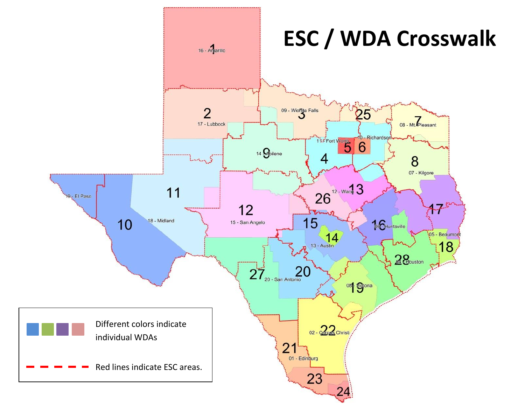